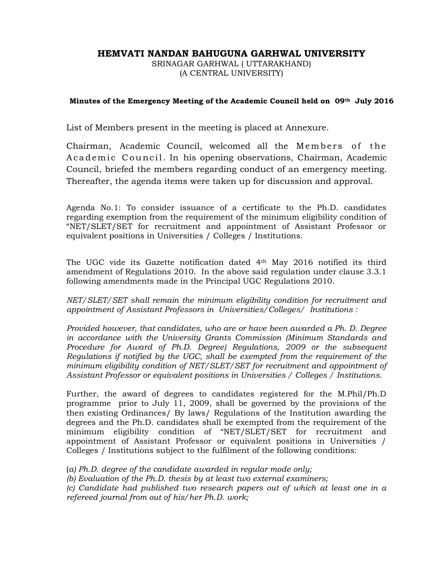# HEMVATI NANDAN BAHUGUNA GARHWAL UNIVERSITY

SRINAGAR GARHWAL ( UTTARAKHAND) (A CENTRAL UNIVERSITY)

#### Minutes of the Emergency Meeting of the Academic Council held on 09th July 2016

List of Members present in the meeting is placed at Annexure.

Chairman, Academic Council, welcomed all the Mem bers of the Aca demic Council. In his opening observations, Chairman, Academic Council, briefed the members regarding conduct of an emergency meeting. Thereafter, the agenda items were taken up for discussion and approval.

Agenda No.1: To consider issuance of a certificate to the Ph.D. candidates regarding exemption from the requirement of the minimum eligibility condition of "NET/SLET/SET for recruitment and appointment of Assistant Professor or equivalent positions in Universities / Colleges / Institutions.

The UGC vide its Gazette notification dated 4th May 2016 notified its third amendment of Regulations 2010. In the above said regulation under clause 3.3.1 following amendments made in the Principal UGC Regulations 2010.

NET/SLET/SET shall remain the minimum eligibility condition for recruitment and appointment of Assistant Professors in Universities/Colleges/ Institutions :

Provided however, that candidates, who are or have been awarded a Ph. D. Degree in accordance with the University Grants Commission (Minimum Standards and Procedure for Award of Ph.D. Degree) Regulations, 2009 or the subsequent Regulations if notified by the UGC, shall be exempted from the requirement of the minimum eligibility condition of NET/SLET/SET for recruitment and appointment of Assistant Professor or equivalent positions in Universities / Colleges / Institutions.

Further, the award of degrees to candidates registered for the M.Phil/Ph.D programme prior to July 11, 2009, shall be governed by the provisions of the then existing Ordinances/ By laws/ Regulations of the Institution awarding the degrees and the Ph.D. candidates shall be exempted from the requirement of the minimum eligibility condition of "NET/SLET/SET for recruitment and appointment of Assistant Professor or equivalent positions in Universities / Colleges / Institutions subject to the fulfilment of the following conditions:

(a) Ph.D. degree of the candidate awarded in regular mode only;

(b) Evaluation of the Ph.D. thesis by at least two external examiners;

(c) Candidate had published two research papers out of which at least one in a refereed journal from out of his/her Ph.D. work;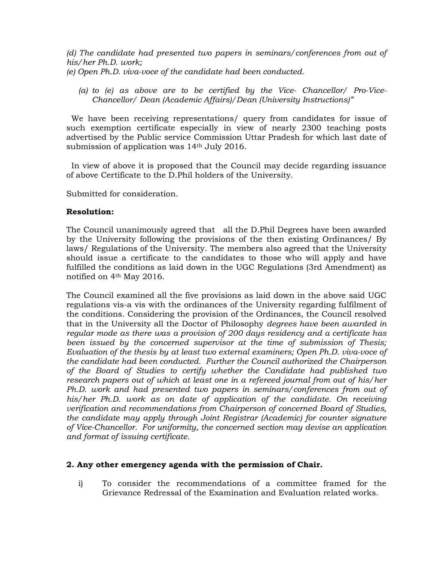(d) The candidate had presented two papers in seminars/conferences from out of his/her Ph.D. work; (e) Open Ph.D. viva-voce of the candidate had been conducted.

(a) to (e) as above are to be certified by the Vice- Chancellor/ Pro-Vice-Chancellor/ Dean (Academic Affairs)/Dean (University Instructions)"

 We have been receiving representations/ query from candidates for issue of such exemption certificate especially in view of nearly 2300 teaching posts advertised by the Public service Commission Uttar Pradesh for which last date of submission of application was 14<sup>th</sup> July 2016.

 In view of above it is proposed that the Council may decide regarding issuance of above Certificate to the D.Phil holders of the University.

Submitted for consideration.

#### Resolution:

The Council unanimously agreed that all the D.Phil Degrees have been awarded by the University following the provisions of the then existing Ordinances/ By laws/ Regulations of the University. The members also agreed that the University should issue a certificate to the candidates to those who will apply and have fulfilled the conditions as laid down in the UGC Regulations (3rd Amendment) as notified on 4th May 2016.

The Council examined all the five provisions as laid down in the above said UGC regulations vis-a vis with the ordinances of the University regarding fulfilment of the conditions. Considering the provision of the Ordinances, the Council resolved that in the University all the Doctor of Philosophy degrees have been awarded in regular mode as there was a provision of 200 days residency and a certificate has been issued by the concerned supervisor at the time of submission of Thesis; Evaluation of the thesis by at least two external examiners; Open Ph.D. viva-voce of the candidate had been conducted. Further the Council authorized the Chairperson of the Board of Studies to certify whether the Candidate had published two research papers out of which at least one in a refereed journal from out of his/her Ph.D. work and had presented two papers in seminars/conferences from out of his/her Ph.D. work as on date of application of the candidate. On receiving verification and recommendations from Chairperson of concerned Board of Studies, the candidate may apply through Joint Registrar (Academic) for counter signature of Vice-Chancellor. For uniformity, the concerned section may devise an application and format of issuing certificate.

#### 2. Any other emergency agenda with the permission of Chair.

i) To consider the recommendations of a committee framed for the Grievance Redressal of the Examination and Evaluation related works.